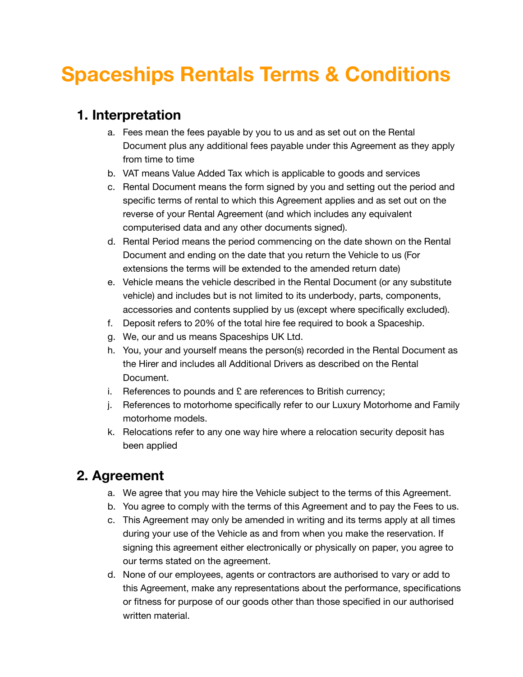# **Spaceships Rentals Terms & Conditions**

#### **1. Interpretation**

- a. Fees mean the fees payable by you to us and as set out on the Rental Document plus any additional fees payable under this Agreement as they apply from time to time
- b. VAT means Value Added Tax which is applicable to goods and services
- c. Rental Document means the form signed by you and setting out the period and specific terms of rental to which this Agreement applies and as set out on the reverse of your Rental Agreement (and which includes any equivalent computerised data and any other documents signed).
- d. Rental Period means the period commencing on the date shown on the Rental Document and ending on the date that you return the Vehicle to us (For extensions the terms will be extended to the amended return date)
- e. Vehicle means the vehicle described in the Rental Document (or any substitute vehicle) and includes but is not limited to its underbody, parts, components, accessories and contents supplied by us (except where specifically excluded).
- f. Deposit refers to 20% of the total hire fee required to book a Spaceship.
- g. We, our and us means Spaceships UK Ltd.
- h. You, your and yourself means the person(s) recorded in the Rental Document as the Hirer and includes all Additional Drivers as described on the Rental Document.
- i. References to pounds and  $E$  are references to British currency;
- j. References to motorhome specifically refer to our Luxury Motorhome and Family motorhome models.
- k. Relocations refer to any one way hire where a relocation security deposit has been applied

#### **2. Agreement**

- a. We agree that you may hire the Vehicle subject to the terms of this Agreement.
- b. You agree to comply with the terms of this Agreement and to pay the Fees to us.
- c. This Agreement may only be amended in writing and its terms apply at all times during your use of the Vehicle as and from when you make the reservation. If signing this agreement either electronically or physically on paper, you agree to our terms stated on the agreement.
- d. None of our employees, agents or contractors are authorised to vary or add to this Agreement, make any representations about the performance, specifications or fitness for purpose of our goods other than those specified in our authorised written material.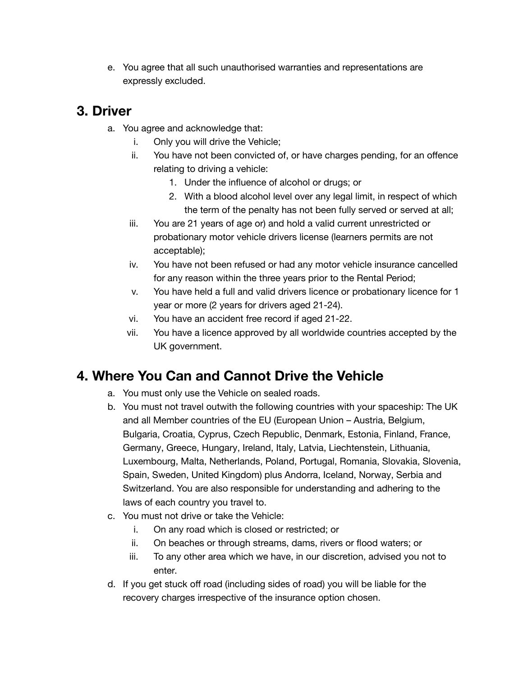e. You agree that all such unauthorised warranties and representations are expressly excluded.

## **3. Driver**

- a. You agree and acknowledge that:
	- i. Only you will drive the Vehicle;
	- ii. You have not been convicted of, or have charges pending, for an offence relating to driving a vehicle:
		- 1. Under the influence of alcohol or drugs; or
		- 2. With a blood alcohol level over any legal limit, in respect of which the term of the penalty has not been fully served or served at all;
	- iii. You are 21 years of age or) and hold a valid current unrestricted or probationary motor vehicle drivers license (learners permits are not acceptable);
	- iv. You have not been refused or had any motor vehicle insurance cancelled for any reason within the three years prior to the Rental Period;
	- v. You have held a full and valid drivers licence or probationary licence for 1 year or more (2 years for drivers aged 21-24).
	- vi. You have an accident free record if aged 21-22.
	- vii. You have a licence approved by all worldwide countries accepted by the UK government.

# **4. Where You Can and Cannot Drive the Vehicle**

- a. You must only use the Vehicle on sealed roads.
- b. You must not travel outwith the following countries with your spaceship: The UK and all Member countries of the EU (European Union – Austria, Belgium, Bulgaria, Croatia, Cyprus, Czech Republic, Denmark, Estonia, Finland, France, Germany, Greece, Hungary, Ireland, Italy, Latvia, Liechtenstein, Lithuania, Luxembourg, Malta, Netherlands, Poland, Portugal, Romania, Slovakia, Slovenia, Spain, Sweden, United Kingdom) plus Andorra, Iceland, Norway, Serbia and Switzerland. You are also responsible for understanding and adhering to the laws of each country you travel to.
- c. You must not drive or take the Vehicle:
	- i. On any road which is closed or restricted; or
	- ii. On beaches or through streams, dams, rivers or flood waters; or
	- iii. To any other area which we have, in our discretion, advised you not to enter.
- d. If you get stuck off road (including sides of road) you will be liable for the recovery charges irrespective of the insurance option chosen.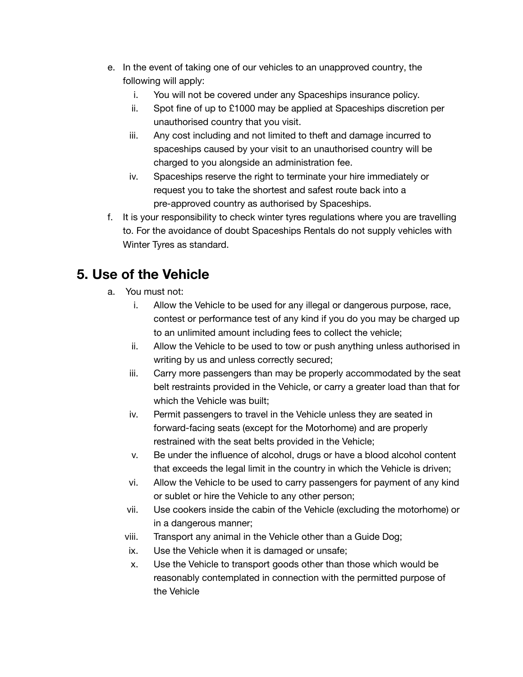- e. In the event of taking one of our vehicles to an unapproved country, the following will apply:
	- i. You will not be covered under any Spaceships insurance policy.
	- ii. Spot fine of up to £1000 may be applied at Spaceships discretion per unauthorised country that you visit.
	- iii. Any cost including and not limited to theft and damage incurred to spaceships caused by your visit to an unauthorised country will be charged to you alongside an administration fee.
	- iv. Spaceships reserve the right to terminate your hire immediately or request you to take the shortest and safest route back into a pre-approved country as authorised by Spaceships.
- f. It is your responsibility to check winter tyres regulations where you are travelling to. For the avoidance of doubt Spaceships Rentals do not supply vehicles with Winter Tyres as standard.

# **5. Use of the Vehicle**

- a. You must not:
	- i. Allow the Vehicle to be used for any illegal or dangerous purpose, race, contest or performance test of any kind if you do you may be charged up to an unlimited amount including fees to collect the vehicle;
	- ii. Allow the Vehicle to be used to tow or push anything unless authorised in writing by us and unless correctly secured;
	- iii. Carry more passengers than may be properly accommodated by the seat belt restraints provided in the Vehicle, or carry a greater load than that for which the Vehicle was built;
	- iv. Permit passengers to travel in the Vehicle unless they are seated in forward-facing seats (except for the Motorhome) and are properly restrained with the seat belts provided in the Vehicle;
	- v. Be under the influence of alcohol, drugs or have a blood alcohol content that exceeds the legal limit in the country in which the Vehicle is driven;
	- vi. Allow the Vehicle to be used to carry passengers for payment of any kind or sublet or hire the Vehicle to any other person;
	- vii. Use cookers inside the cabin of the Vehicle (excluding the motorhome) or in a dangerous manner;
	- viii. Transport any animal in the Vehicle other than a Guide Dog;
	- ix. Use the Vehicle when it is damaged or unsafe;
	- x. Use the Vehicle to transport goods other than those which would be reasonably contemplated in connection with the permitted purpose of the Vehicle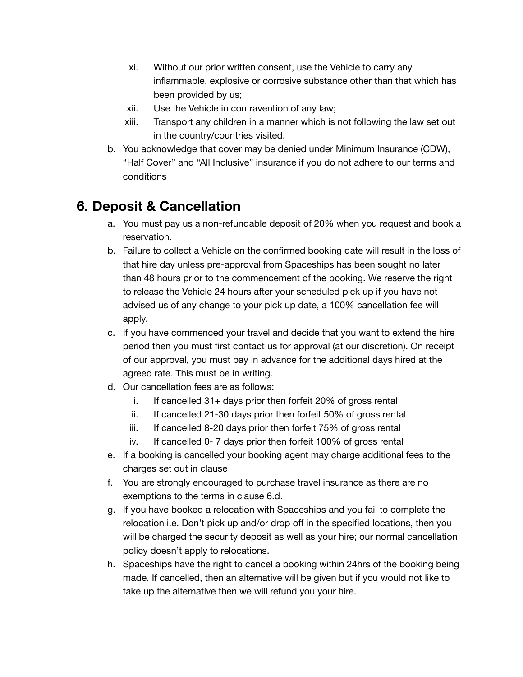- xi. Without our prior written consent, use the Vehicle to carry any inflammable, explosive or corrosive substance other than that which has been provided by us;
- xii. Use the Vehicle in contravention of any law;
- xiii. Transport any children in a manner which is not following the law set out in the country/countries visited.
- b. You acknowledge that cover may be denied under Minimum Insurance (CDW), "Half Cover" and "All Inclusive" insurance if you do not adhere to our terms and conditions

## **6. Deposit & Cancellation**

- a. You must pay us a non-refundable deposit of 20% when you request and book a reservation.
- b. Failure to collect a Vehicle on the confirmed booking date will result in the loss of that hire day unless pre-approval from Spaceships has been sought no later than 48 hours prior to the commencement of the booking. We reserve the right to release the Vehicle 24 hours after your scheduled pick up if you have not advised us of any change to your pick up date, a 100% cancellation fee will apply.
- c. If you have commenced your travel and decide that you want to extend the hire period then you must first contact us for approval (at our discretion). On receipt of our approval, you must pay in advance for the additional days hired at the agreed rate. This must be in writing.
- d. Our cancellation fees are as follows:
	- i. If cancelled 31+ days prior then forfeit 20% of gross rental
	- ii. If cancelled 21-30 days prior then forfeit 50% of gross rental
	- iii. If cancelled 8-20 days prior then forfeit 75% of gross rental
	- iv. If cancelled 0- 7 days prior then forfeit 100% of gross rental
- e. If a booking is cancelled your booking agent may charge additional fees to the charges set out in clause
- f. You are strongly encouraged to purchase travel insurance as there are no exemptions to the terms in clause 6.d.
- g. If you have booked a relocation with Spaceships and you fail to complete the relocation i.e. Don't pick up and/or drop off in the specified locations, then you will be charged the security deposit as well as your hire; our normal cancellation policy doesn't apply to relocations.
- h. Spaceships have the right to cancel a booking within 24hrs of the booking being made. If cancelled, then an alternative will be given but if you would not like to take up the alternative then we will refund you your hire.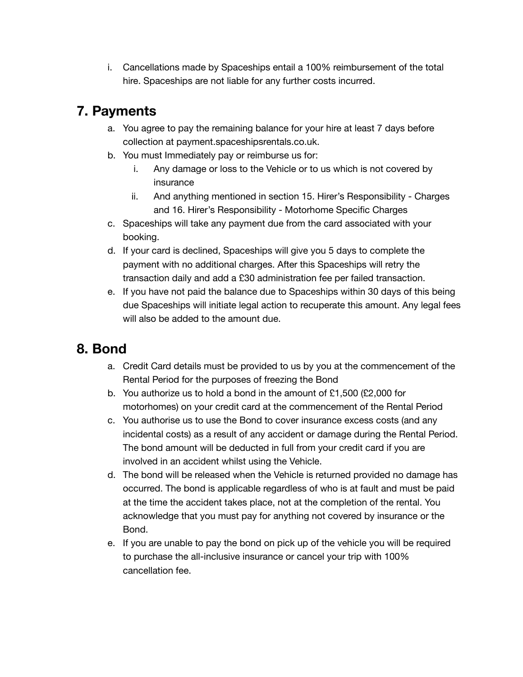i. Cancellations made by Spaceships entail a 100% reimbursement of the total hire. Spaceships are not liable for any further costs incurred.

## **7. Payments**

- a. You agree to pay the remaining balance for your hire at least 7 days before collection at payment.spaceshipsrentals.co.uk.
- b. You must Immediately pay or reimburse us for:
	- i. Any damage or loss to the Vehicle or to us which is not covered by insurance
	- ii. And anything mentioned in section 15. Hirer's Responsibility Charges and 16. Hirer's Responsibility - Motorhome Specific Charges
- c. Spaceships will take any payment due from the card associated with your booking.
- d. If your card is declined, Spaceships will give you 5 days to complete the payment with no additional charges. After this Spaceships will retry the transaction daily and add a £30 administration fee per failed transaction.
- e. If you have not paid the balance due to Spaceships within 30 days of this being due Spaceships will initiate legal action to recuperate this amount. Any legal fees will also be added to the amount due.

# **8. Bond**

- a. Credit Card details must be provided to us by you at the commencement of the Rental Period for the purposes of freezing the Bond
- b. You authorize us to hold a bond in the amount of £1,500 (£2,000 for motorhomes) on your credit card at the commencement of the Rental Period
- c. You authorise us to use the Bond to cover insurance excess costs (and any incidental costs) as a result of any accident or damage during the Rental Period. The bond amount will be deducted in full from your credit card if you are involved in an accident whilst using the Vehicle.
- d. The bond will be released when the Vehicle is returned provided no damage has occurred. The bond is applicable regardless of who is at fault and must be paid at the time the accident takes place, not at the completion of the rental. You acknowledge that you must pay for anything not covered by insurance or the Bond.
- e. If you are unable to pay the bond on pick up of the vehicle you will be required to purchase the all-inclusive insurance or cancel your trip with 100% cancellation fee.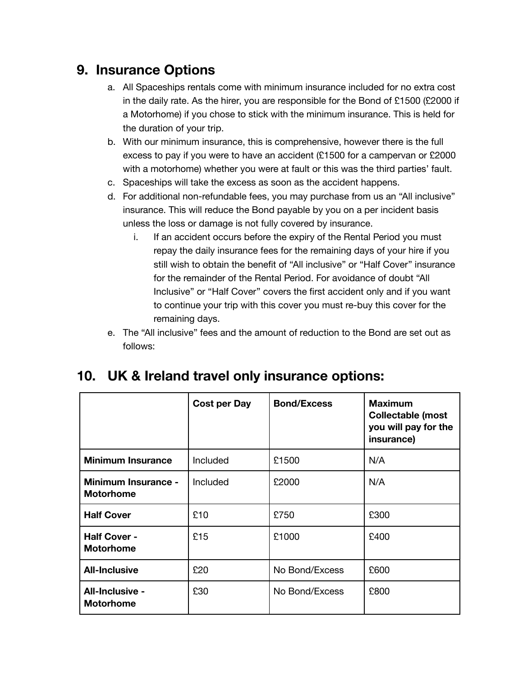#### **9. Insurance Options**

- a. All Spaceships rentals come with minimum insurance included for no extra cost in the daily rate. As the hirer, you are responsible for the Bond of £1500 (£2000 if a Motorhome) if you chose to stick with the minimum insurance. This is held for the duration of your trip.
- b. With our minimum insurance, this is comprehensive, however there is the full excess to pay if you were to have an accident (£1500 for a campervan or £2000 with a motorhome) whether you were at fault or this was the third parties' fault.
- c. Spaceships will take the excess as soon as the accident happens.
- d. For additional non-refundable fees, you may purchase from us an "All inclusive" insurance. This will reduce the Bond payable by you on a per incident basis unless the loss or damage is not fully covered by insurance.
	- i. If an accident occurs before the expiry of the Rental Period you must repay the daily insurance fees for the remaining days of your hire if you still wish to obtain the benefit of "All inclusive" or "Half Cover" insurance for the remainder of the Rental Period. For avoidance of doubt "All Inclusive" or "Half Cover" covers the first accident only and if you want to continue your trip with this cover you must re-buy this cover for the remaining days.
- e. The "All inclusive" fees and the amount of reduction to the Bond are set out as follows:

|                                                | <b>Cost per Day</b> | <b>Bond/Excess</b> | <b>Maximum</b><br><b>Collectable (most</b><br>you will pay for the<br>insurance) |
|------------------------------------------------|---------------------|--------------------|----------------------------------------------------------------------------------|
| <b>Minimum Insurance</b>                       | Included            | £1500              | N/A                                                                              |
| <b>Minimum Insurance -</b><br><b>Motorhome</b> | <b>Included</b>     | £2000              | N/A                                                                              |
| <b>Half Cover</b>                              | £10                 | £750               | £300                                                                             |
| <b>Half Cover -</b><br><b>Motorhome</b>        | £15                 | £1000              | £400                                                                             |
| <b>All-Inclusive</b>                           | £20                 | No Bond/Excess     | £600                                                                             |
| All-Inclusive -<br><b>Motorhome</b>            | £30                 | No Bond/Excess     | £800                                                                             |

#### **10. UK & Ireland travel only insurance options:**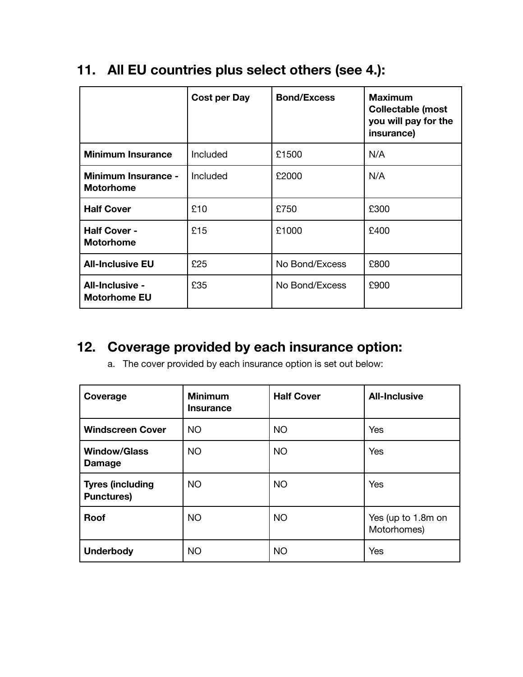|                                                | <b>Cost per Day</b> | <b>Bond/Excess</b> | <b>Maximum</b><br><b>Collectable (most</b><br>you will pay for the<br>insurance) |
|------------------------------------------------|---------------------|--------------------|----------------------------------------------------------------------------------|
| <b>Minimum Insurance</b>                       | Included            | £1500              | N/A                                                                              |
| <b>Minimum Insurance -</b><br><b>Motorhome</b> | Included            | £2000              | N/A                                                                              |
| <b>Half Cover</b>                              | £10                 | £750               | £300                                                                             |
| <b>Half Cover -</b><br><b>Motorhome</b>        | £15                 | £1000              | £400                                                                             |
| <b>All-Inclusive EU</b>                        | £25                 | No Bond/Excess     | £800                                                                             |
| All-Inclusive -<br><b>Motorhome EU</b>         | £35                 | No Bond/Excess     | £900                                                                             |

# **11. All EU countries plus select others (see 4.):**

## **12. Coverage provided by each insurance option:**

a. The cover provided by each insurance option is set out below:

| Coverage                                     | <b>Minimum</b><br><b>Insurance</b> | <b>Half Cover</b> | <b>All-Inclusive</b>              |
|----------------------------------------------|------------------------------------|-------------------|-----------------------------------|
| <b>Windscreen Cover</b>                      | <b>NO</b>                          | <b>NO</b>         | Yes                               |
| <b>Window/Glass</b><br>Damage                | <b>NO</b>                          | <b>NO</b>         | Yes                               |
| <b>Tyres (including</b><br><b>Punctures)</b> | <b>NO</b>                          | <b>NO</b>         | Yes                               |
| <b>Roof</b>                                  | <b>NO</b>                          | <b>NO</b>         | Yes (up to 1.8m on<br>Motorhomes) |
| <b>Underbody</b>                             | <b>NO</b>                          | <b>NO</b>         | Yes                               |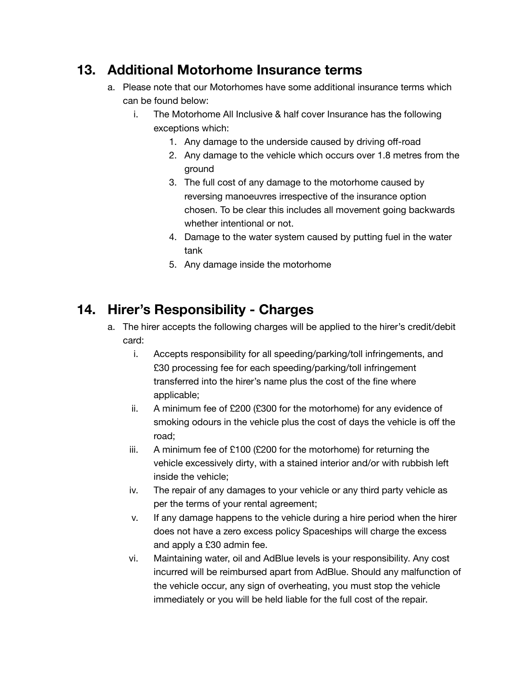#### **13. Additional Motorhome Insurance terms**

- a. Please note that our Motorhomes have some additional insurance terms which can be found below:
	- i. The Motorhome All Inclusive & half cover Insurance has the following exceptions which:
		- 1. Any damage to the underside caused by driving off-road
		- 2. Any damage to the vehicle which occurs over 1.8 metres from the ground
		- 3. The full cost of any damage to the motorhome caused by reversing manoeuvres irrespective of the insurance option chosen. To be clear this includes all movement going backwards whether intentional or not.
		- 4. Damage to the water system caused by putting fuel in the water tank
		- 5. Any damage inside the motorhome

## **14. Hirer's Responsibility - Charges**

- a. The hirer accepts the following charges will be applied to the hirer's credit/debit card:
	- i. Accepts responsibility for all speeding/parking/toll infringements, and £30 processing fee for each speeding/parking/toll infringement transferred into the hirer's name plus the cost of the fine where applicable;
	- ii. A minimum fee of £200 (£300 for the motorhome) for any evidence of smoking odours in the vehicle plus the cost of days the vehicle is off the road;
	- iii. A minimum fee of £100 (£200 for the motorhome) for returning the vehicle excessively dirty, with a stained interior and/or with rubbish left inside the vehicle;
	- iv. The repair of any damages to your vehicle or any third party vehicle as per the terms of your rental agreement;
	- v. If any damage happens to the vehicle during a hire period when the hirer does not have a zero excess policy Spaceships will charge the excess and apply a £30 admin fee.
	- vi. Maintaining water, oil and AdBlue levels is your responsibility. Any cost incurred will be reimbursed apart from AdBlue. Should any malfunction of the vehicle occur, any sign of overheating, you must stop the vehicle immediately or you will be held liable for the full cost of the repair.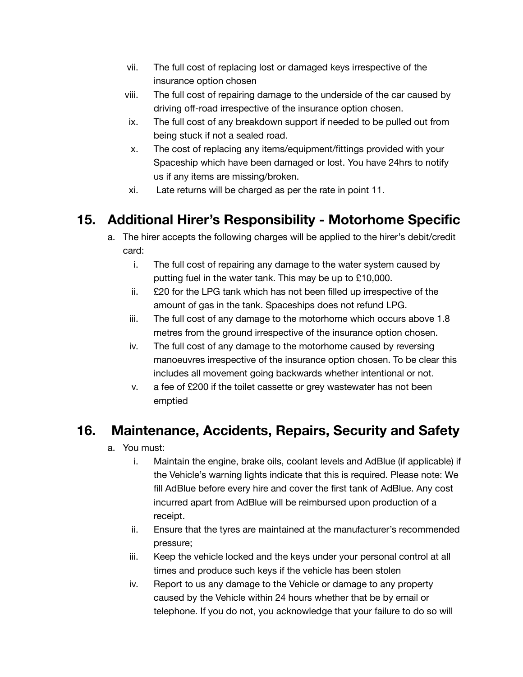- vii. The full cost of replacing lost or damaged keys irrespective of the insurance option chosen
- viii. The full cost of repairing damage to the underside of the car caused by driving off-road irrespective of the insurance option chosen.
- ix. The full cost of any breakdown support if needed to be pulled out from being stuck if not a sealed road.
- x. The cost of replacing any items/equipment/fittings provided with your Spaceship which have been damaged or lost. You have 24hrs to notify us if any items are missing/broken.
- xi. Late returns will be charged as per the rate in point 11.

#### **15. Additional Hirer's Responsibility - Motorhome Specific**

- a. The hirer accepts the following charges will be applied to the hirer's debit/credit card:
	- i. The full cost of repairing any damage to the water system caused by putting fuel in the water tank. This may be up to £10,000.
	- ii. £20 for the LPG tank which has not been filled up irrespective of the amount of gas in the tank. Spaceships does not refund LPG.
	- iii. The full cost of any damage to the motorhome which occurs above 1.8 metres from the ground irrespective of the insurance option chosen.
	- iv. The full cost of any damage to the motorhome caused by reversing manoeuvres irrespective of the insurance option chosen. To be clear this includes all movement going backwards whether intentional or not.
	- v. a fee of £200 if the toilet cassette or grey wastewater has not been emptied

#### **16. Maintenance, Accidents, Repairs, Security and Safety**

- a. You must:
	- i. Maintain the engine, brake oils, coolant levels and AdBlue (if applicable) if the Vehicle's warning lights indicate that this is required. Please note: We fill AdBlue before every hire and cover the first tank of AdBlue. Any cost incurred apart from AdBlue will be reimbursed upon production of a receipt.
	- ii. Ensure that the tyres are maintained at the manufacturer's recommended pressure;
	- iii. Keep the vehicle locked and the keys under your personal control at all times and produce such keys if the vehicle has been stolen
	- iv. Report to us any damage to the Vehicle or damage to any property caused by the Vehicle within 24 hours whether that be by email or telephone. If you do not, you acknowledge that your failure to do so will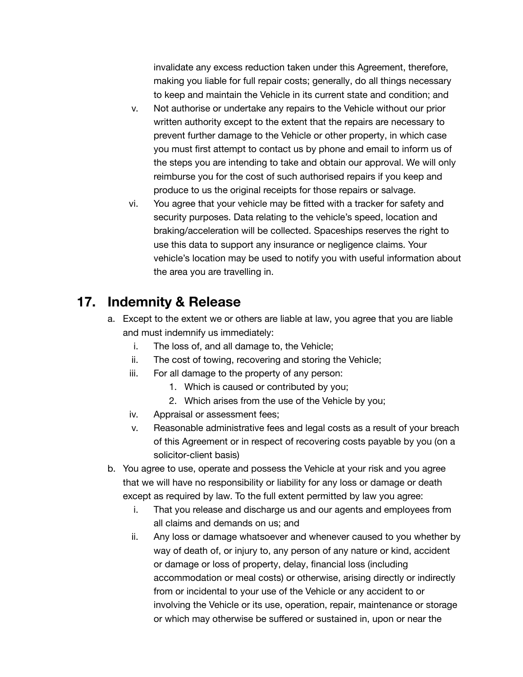invalidate any excess reduction taken under this Agreement, therefore, making you liable for full repair costs; generally, do all things necessary to keep and maintain the Vehicle in its current state and condition; and

- v. Not authorise or undertake any repairs to the Vehicle without our prior written authority except to the extent that the repairs are necessary to prevent further damage to the Vehicle or other property, in which case you must first attempt to contact us by phone and email to inform us of the steps you are intending to take and obtain our approval. We will only reimburse you for the cost of such authorised repairs if you keep and produce to us the original receipts for those repairs or salvage.
- vi. You agree that your vehicle may be fitted with a tracker for safety and security purposes. Data relating to the vehicle's speed, location and braking/acceleration will be collected. Spaceships reserves the right to use this data to support any insurance or negligence claims. Your vehicle's location may be used to notify you with useful information about the area you are travelling in.

#### **17. Indemnity & Release**

- a. Except to the extent we or others are liable at law, you agree that you are liable and must indemnify us immediately:
	- i. The loss of, and all damage to, the Vehicle;
	- ii. The cost of towing, recovering and storing the Vehicle;
	- iii. For all damage to the property of any person:
		- 1. Which is caused or contributed by you;
		- 2. Which arises from the use of the Vehicle by you;
	- iv. Appraisal or assessment fees;
	- v. Reasonable administrative fees and legal costs as a result of your breach of this Agreement or in respect of recovering costs payable by you (on a solicitor-client basis)
- b. You agree to use, operate and possess the Vehicle at your risk and you agree that we will have no responsibility or liability for any loss or damage or death except as required by law. To the full extent permitted by law you agree:
	- i. That you release and discharge us and our agents and employees from all claims and demands on us; and
	- ii. Any loss or damage whatsoever and whenever caused to you whether by way of death of, or injury to, any person of any nature or kind, accident or damage or loss of property, delay, financial loss (including accommodation or meal costs) or otherwise, arising directly or indirectly from or incidental to your use of the Vehicle or any accident to or involving the Vehicle or its use, operation, repair, maintenance or storage or which may otherwise be suffered or sustained in, upon or near the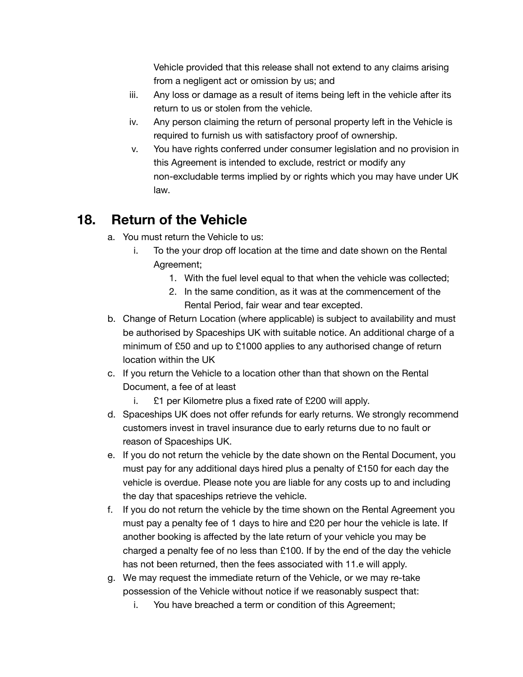Vehicle provided that this release shall not extend to any claims arising from a negligent act or omission by us; and

- iii. Any loss or damage as a result of items being left in the vehicle after its return to us or stolen from the vehicle.
- iv. Any person claiming the return of personal property left in the Vehicle is required to furnish us with satisfactory proof of ownership.
- v. You have rights conferred under consumer legislation and no provision in this Agreement is intended to exclude, restrict or modify any non-excludable terms implied by or rights which you may have under UK law.

#### **18. Return of the Vehicle**

- a. You must return the Vehicle to us:
	- i. To the your drop off location at the time and date shown on the Rental Agreement;
		- 1. With the fuel level equal to that when the vehicle was collected;
		- 2. In the same condition, as it was at the commencement of the Rental Period, fair wear and tear excepted.
- b. Change of Return Location (where applicable) is subject to availability and must be authorised by Spaceships UK with suitable notice. An additional charge of a minimum of £50 and up to £1000 applies to any authorised change of return location within the UK
- c. If you return the Vehicle to a location other than that shown on the Rental Document, a fee of at least
	- i. £1 per Kilometre plus a fixed rate of £200 will apply.
- d. Spaceships UK does not offer refunds for early returns. We strongly recommend customers invest in travel insurance due to early returns due to no fault or reason of Spaceships UK.
- e. If you do not return the vehicle by the date shown on the Rental Document, you must pay for any additional days hired plus a penalty of £150 for each day the vehicle is overdue. Please note you are liable for any costs up to and including the day that spaceships retrieve the vehicle.
- f. If you do not return the vehicle by the time shown on the Rental Agreement you must pay a penalty fee of 1 days to hire and £20 per hour the vehicle is late. If another booking is affected by the late return of your vehicle you may be charged a penalty fee of no less than £100. If by the end of the day the vehicle has not been returned, then the fees associated with 11.e will apply.
- g. We may request the immediate return of the Vehicle, or we may re-take possession of the Vehicle without notice if we reasonably suspect that:
	- i. You have breached a term or condition of this Agreement;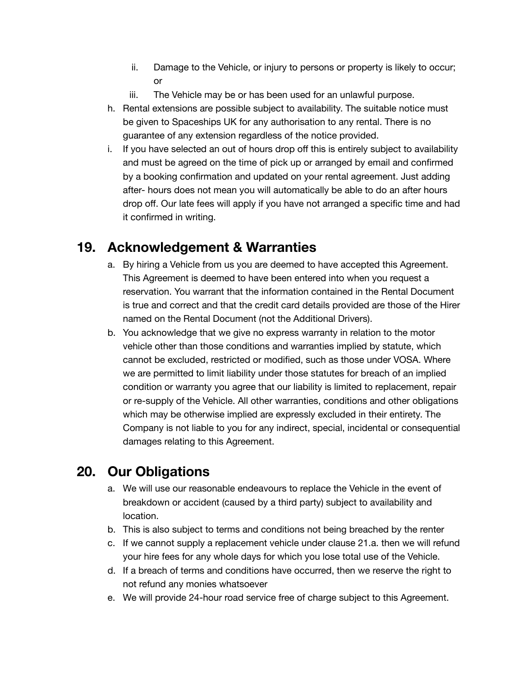- ii. Damage to the Vehicle, or injury to persons or property is likely to occur; or
- iii. The Vehicle may be or has been used for an unlawful purpose.
- h. Rental extensions are possible subject to availability. The suitable notice must be given to Spaceships UK for any authorisation to any rental. There is no guarantee of any extension regardless of the notice provided.
- i. If you have selected an out of hours drop off this is entirely subject to availability and must be agreed on the time of pick up or arranged by email and confirmed by a booking confirmation and updated on your rental agreement. Just adding after- hours does not mean you will automatically be able to do an after hours drop off. Our late fees will apply if you have not arranged a specific time and had it confirmed in writing.

#### **19. Acknowledgement & Warranties**

- a. By hiring a Vehicle from us you are deemed to have accepted this Agreement. This Agreement is deemed to have been entered into when you request a reservation. You warrant that the information contained in the Rental Document is true and correct and that the credit card details provided are those of the Hirer named on the Rental Document (not the Additional Drivers).
- b. You acknowledge that we give no express warranty in relation to the motor vehicle other than those conditions and warranties implied by statute, which cannot be excluded, restricted or modified, such as those under VOSA. Where we are permitted to limit liability under those statutes for breach of an implied condition or warranty you agree that our liability is limited to replacement, repair or re-supply of the Vehicle. All other warranties, conditions and other obligations which may be otherwise implied are expressly excluded in their entirety. The Company is not liable to you for any indirect, special, incidental or consequential damages relating to this Agreement.

# **20. Our Obligations**

- a. We will use our reasonable endeavours to replace the Vehicle in the event of breakdown or accident (caused by a third party) subject to availability and location.
- b. This is also subject to terms and conditions not being breached by the renter
- c. If we cannot supply a replacement vehicle under clause 21.a. then we will refund your hire fees for any whole days for which you lose total use of the Vehicle.
- d. If a breach of terms and conditions have occurred, then we reserve the right to not refund any monies whatsoever
- e. We will provide 24-hour road service free of charge subject to this Agreement.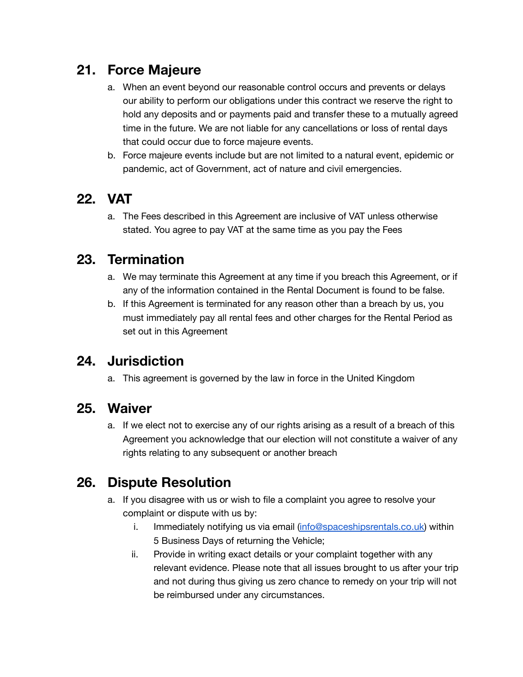# **21. Force Majeure**

- a. When an event beyond our reasonable control occurs and prevents or delays our ability to perform our obligations under this contract we reserve the right to hold any deposits and or payments paid and transfer these to a mutually agreed time in the future. We are not liable for any cancellations or loss of rental days that could occur due to force majeure events.
- b. Force majeure events include but are not limited to a natural event, epidemic or pandemic, act of Government, act of nature and civil emergencies.

## **22. VAT**

a. The Fees described in this Agreement are inclusive of VAT unless otherwise stated. You agree to pay VAT at the same time as you pay the Fees

#### **23. Termination**

- a. We may terminate this Agreement at any time if you breach this Agreement, or if any of the information contained in the Rental Document is found to be false.
- b. If this Agreement is terminated for any reason other than a breach by us, you must immediately pay all rental fees and other charges for the Rental Period as set out in this Agreement

#### **24. Jurisdiction**

a. This agreement is governed by the law in force in the United Kingdom

#### **25. Waiver**

a. If we elect not to exercise any of our rights arising as a result of a breach of this Agreement you acknowledge that our election will not constitute a waiver of any rights relating to any subsequent or another breach

## **26. Dispute Resolution**

- a. If you disagree with us or wish to file a complaint you agree to resolve your complaint or dispute with us by:
	- i. Immediately notifying us via email [\(info@spaceshipsrentals.co.uk\)](mailto:info@spaceshipsrentals.co.uk) within 5 Business Days of returning the Vehicle;
	- ii. Provide in writing exact details or your complaint together with any relevant evidence. Please note that all issues brought to us after your trip and not during thus giving us zero chance to remedy on your trip will not be reimbursed under any circumstances.